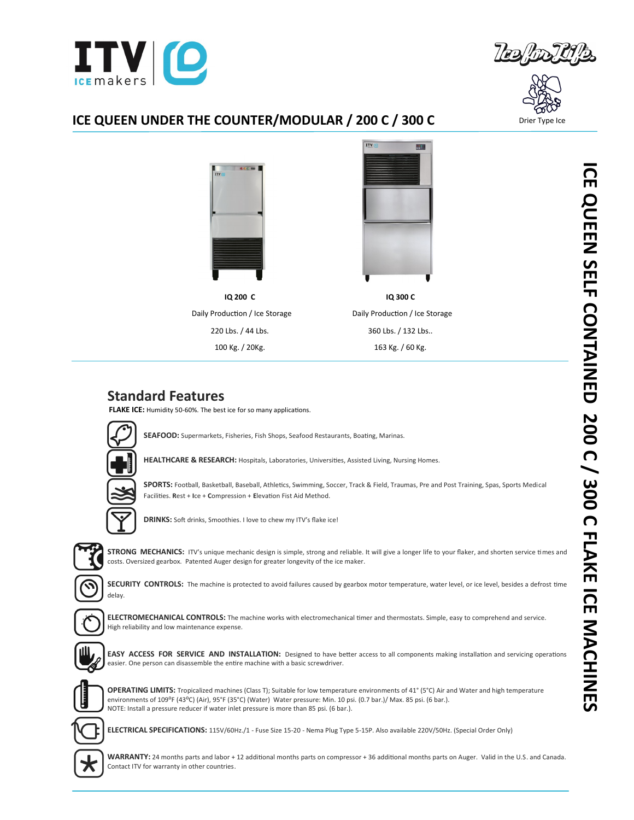



### **ICE QUEEN UNDER THE COUNTER/MODULAR / 200 C / 300 C**



# **Standard Features**

**FLAKE ICE:** Humidity 50-60%. The best ice for so many applications.



**SEAFOOD:** Supermarkets, Fisheries, Fish Shops, Seafood Restaurants, Boating, Marinas.

**HEALTHCARE & RESEARCH:** Hospitals, Laboratories, Universities, Assisted Living, Nursing Homes.



**SPORTS:** Football, Basketball, Baseball, Athletics, Swimming, Soccer, Track & Field, Traumas, Pre and Post Training, Spas, Sports Medical

**DRINKS:** Soft drinks, Smoothies. I love to chew my ITV's flake ice!

Facilities. **R**est + **I**ce + **C**ompression + **E**levation Fist Aid Method.



STRONG MECHANICS: ITV's unique mechanic design is simple, strong and reliable. It will give a longer life to your flaker, and shorten service times and costs. Oversized gearbox. Patented Auger design for greater longevity of the ice maker.



SECURITY CONTROLS: The machine is protected to avoid failures caused by gearbox motor temperature, water level, or ice level, besides a defrost time delay.



**ELECTROMECHANICAL CONTROLS:** The machine works with electromechanical timer and thermostats. Simple, easy to comprehend and service. High reliability and low maintenance expense.



**EASY ACCESS FOR SERVICE AND INSTALLATION:** Designed to have better access to all components making installation and servicing operations easier. One person can disassemble the entire machine with a basic screwdriver.



**OPERATING LIMITS:** Tropicalized machines (Class T); Suitable for low temperature environments of 41° (5°C) Air and Water and high temperature environments of 109ºF (43ºC) (Air), 95°F (35°C) (Water) Water pressure: Min. 10 psi. (0.7 bar.)/ Max. 85 psi. (6 bar.). NOTE: Install a pressure reducer if water inlet pressure is more than 85 psi. (6 bar.).



**ELECTRICAL SPECIFICATIONS:** 115V/60Hz./1 - Fuse Size 15-20 - Nema Plug Type 5-15P. Also available 220V/50Hz. (Special Order Only)

**WARRANTY:** 24 months parts and labor + 12 additional months parts on compressor + 36 additional months parts on Auger. Valid in the U.S. and Canada. Contact ITV for warranty in other countries.